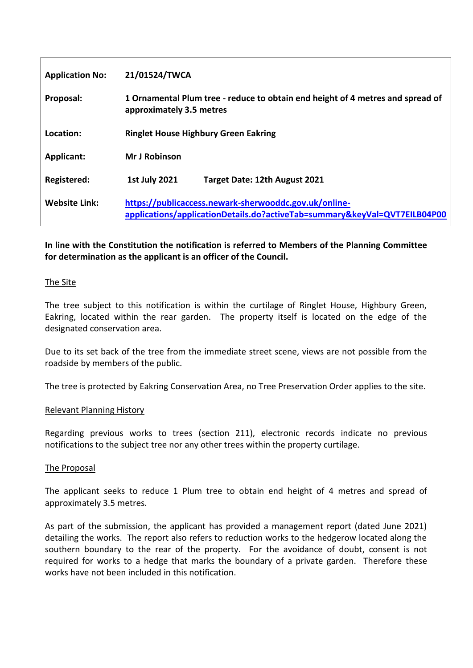| <b>Application No:</b> | 21/01524/TWCA                                                                                                                      |
|------------------------|------------------------------------------------------------------------------------------------------------------------------------|
| Proposal:              | 1 Ornamental Plum tree - reduce to obtain end height of 4 metres and spread of<br>approximately 3.5 metres                         |
| Location:              | <b>Ringlet House Highbury Green Eakring</b>                                                                                        |
| Applicant:             | <b>Mr J Robinson</b>                                                                                                               |
| Registered:            | <b>1st July 2021</b><br>Target Date: 12th August 2021                                                                              |
| <b>Website Link:</b>   | https://publicaccess.newark-sherwooddc.gov.uk/online-<br>applications/applicationDetails.do?activeTab=summary&keyVal=QVT7EILB04P00 |

# **In line with the Constitution the notification is referred to Members of the Planning Committee for determination as the applicant is an officer of the Council.**

## The Site

The tree subject to this notification is within the curtilage of Ringlet House, Highbury Green, Eakring, located within the rear garden. The property itself is located on the edge of the designated conservation area.

Due to its set back of the tree from the immediate street scene, views are not possible from the roadside by members of the public.

The tree is protected by Eakring Conservation Area, no Tree Preservation Order applies to the site.

### Relevant Planning History

Regarding previous works to trees (section 211), electronic records indicate no previous notifications to the subject tree nor any other trees within the property curtilage.

### The Proposal

The applicant seeks to reduce 1 Plum tree to obtain end height of 4 metres and spread of approximately 3.5 metres.

As part of the submission, the applicant has provided a management report (dated June 2021) detailing the works. The report also refers to reduction works to the hedgerow located along the southern boundary to the rear of the property. For the avoidance of doubt, consent is not required for works to a hedge that marks the boundary of a private garden. Therefore these works have not been included in this notification.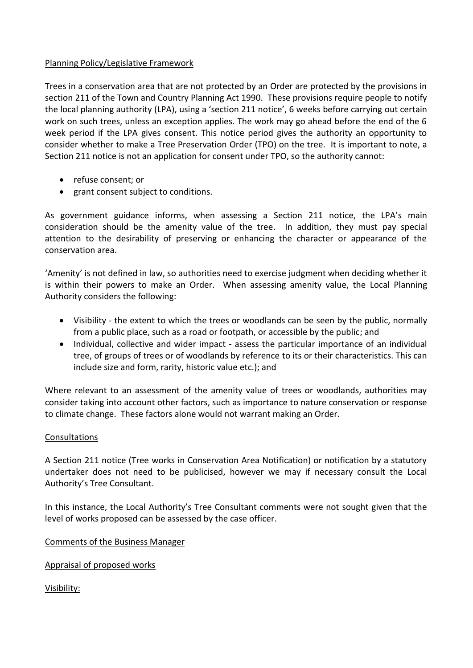# Planning Policy/Legislative Framework

Trees in a conservation area that are not protected by an Order are protected by the provisions in section 211 of the Town and Country Planning Act 1990. These provisions require people to notify the local planning authority (LPA), using a 'section 211 notice', 6 weeks before carrying out certain work on such trees, unless an exception applies. The work may go ahead before the end of the 6 week period if the LPA gives consent. This notice period gives the authority an opportunity to consider whether to make a Tree Preservation Order (TPO) on the tree. It is important to note, a Section 211 notice is not an application for consent under TPO, so the authority cannot:

- refuse consent; or
- grant consent subject to conditions.

As government guidance informs, when assessing a Section 211 notice, the LPA's main consideration should be the amenity value of the tree. In addition, they must pay special attention to the desirability of preserving or enhancing the character or appearance of the conservation area.

'Amenity' is not defined in law, so authorities need to exercise judgment when deciding whether it is within their powers to make an Order. When assessing amenity value, the Local Planning Authority considers the following:

- Visibility the extent to which the trees or woodlands can be seen by the public, normally from a public place, such as a road or footpath, or accessible by the public; and
- Individual, collective and wider impact assess the particular importance of an individual tree, of groups of trees or of woodlands by reference to its or their characteristics. This can include size and form, rarity, historic value etc.); and

Where relevant to an assessment of the amenity value of trees or woodlands, authorities may consider taking into account other factors, such as importance to nature conservation or response to climate change. These factors alone would not warrant making an Order.

## **Consultations**

A Section 211 notice (Tree works in Conservation Area Notification) or notification by a statutory undertaker does not need to be publicised, however we may if necessary consult the Local Authority's Tree Consultant.

In this instance, the Local Authority's Tree Consultant comments were not sought given that the level of works proposed can be assessed by the case officer.

Comments of the Business Manager

Appraisal of proposed works

Visibility: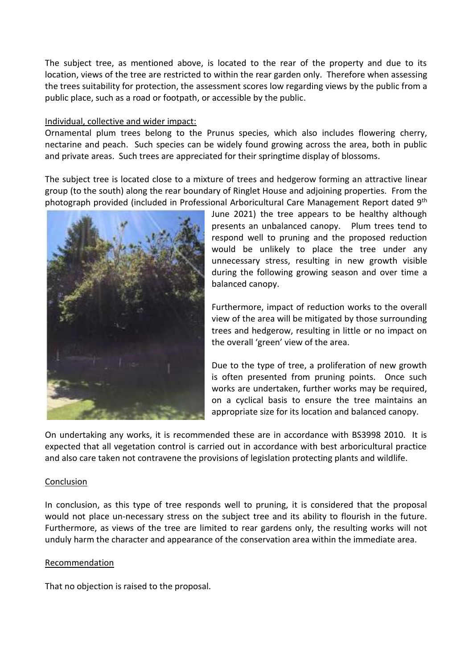The subject tree, as mentioned above, is located to the rear of the property and due to its location, views of the tree are restricted to within the rear garden only. Therefore when assessing the trees suitability for protection, the assessment scores low regarding views by the public from a public place, such as a road or footpath, or accessible by the public.

### Individual, collective and wider impact:

Ornamental plum trees belong to the Prunus species, which also includes flowering cherry, nectarine and peach. Such species can be widely found growing across the area, both in public and private areas. Such trees are appreciated for their springtime display of blossoms.

The subject tree is located close to a mixture of trees and hedgerow forming an attractive linear group (to the south) along the rear boundary of Ringlet House and adjoining properties. From the photograph provided (included in Professional Arboricultural Care Management Report dated 9<sup>th</sup>



June 2021) the tree appears to be healthy although presents an unbalanced canopy. Plum trees tend to respond well to pruning and the proposed reduction would be unlikely to place the tree under any unnecessary stress, resulting in new growth visible during the following growing season and over time a balanced canopy.

Furthermore, impact of reduction works to the overall view of the area will be mitigated by those surrounding trees and hedgerow, resulting in little or no impact on the overall 'green' view of the area.

Due to the type of tree, a proliferation of new growth is often presented from pruning points. Once such works are undertaken, further works may be required. on a cyclical basis to ensure the tree maintains an appropriate size for its location and balanced canopy.

On undertaking any works, it is recommended these are in accordance with BS3998 2010. It is expected that all vegetation control is carried out in accordance with best arboricultural practice and also care taken not contravene the provisions of legislation protecting plants and wildlife.

#### Conclusion

In conclusion, as this type of tree responds well to pruning, it is considered that the proposal would not place un-necessary stress on the subject tree and its ability to flourish in the future. Furthermore, as views of the tree are limited to rear gardens only, the resulting works will not unduly harm the character and appearance of the conservation area within the immediate area.

### Recommendation

That no objection is raised to the proposal.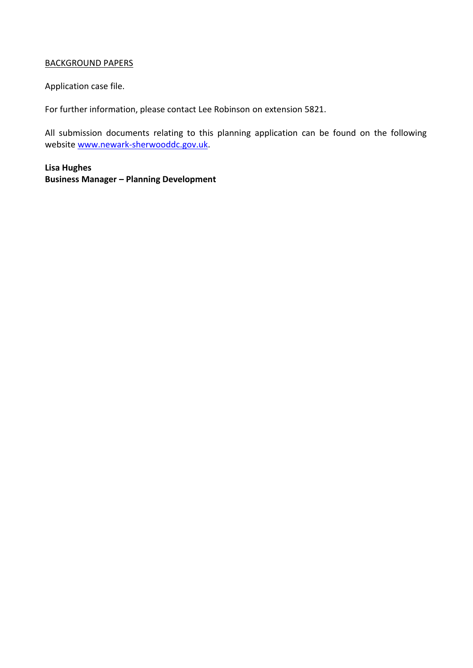# BACKGROUND PAPERS

Application case file.

For further information, please contact Lee Robinson on extension 5821.

All submission documents relating to this planning application can be found on the following websit[e www.newark-sherwooddc.gov.uk.](http://www.newark-sherwooddc.gov.uk/)

**Lisa Hughes Business Manager – Planning Development**